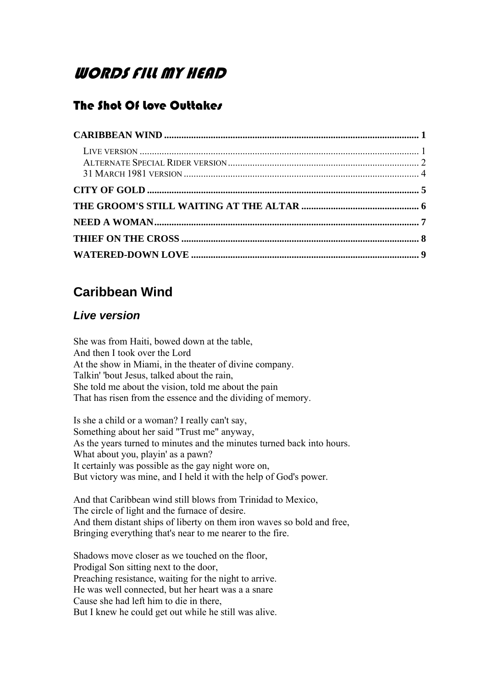# WORDS FILL MY HEAD

### The Shot Of Love Outtakes

### **Caribbean Wind**

### *Live version*

She was from Haiti, bowed down at the table, And then I took over the Lord At the show in Miami, in the theater of divine company. Talkin' 'bout Jesus, talked about the rain, She told me about the vision, told me about the pain That has risen from the essence and the dividing of memory.

Is she a child or a woman? I really can't say, Something about her said "Trust me" anyway, As the years turned to minutes and the minutes turned back into hours. What about you, playin' as a pawn? It certainly was possible as the gay night wore on, But victory was mine, and I held it with the help of God's power.

And that Caribbean wind still blows from Trinidad to Mexico, The circle of light and the furnace of desire. And them distant ships of liberty on them iron waves so bold and free, Bringing everything that's near to me nearer to the fire.

Shadows move closer as we touched on the floor, Prodigal Son sitting next to the door, Preaching resistance, waiting for the night to arrive. He was well connected, but her heart was a a snare Cause she had left him to die in there, But I knew he could get out while he still was alive.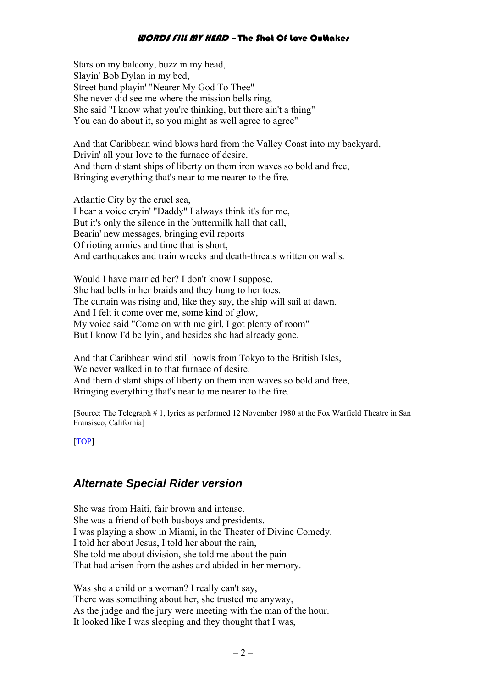Stars on my balcony, buzz in my head, Slayin' Bob Dylan in my bed, Street band playin' "Nearer My God To Thee" She never did see me where the mission bells ring, She said "I know what you're thinking, but there ain't a thing" You can do about it, so you might as well agree to agree"

And that Caribbean wind blows hard from the Valley Coast into my backyard, Drivin' all your love to the furnace of desire. And them distant ships of liberty on them iron waves so bold and free, Bringing everything that's near to me nearer to the fire.

Atlantic City by the cruel sea, I hear a voice cryin' "Daddy" I always think it's for me, But it's only the silence in the buttermilk hall that call, Bearin' new messages, bringing evil reports Of rioting armies and time that is short, And earthquakes and train wrecks and death-threats written on walls.

Would I have married her? I don't know I suppose, She had bells in her braids and they hung to her toes. The curtain was rising and, like they say, the ship will sail at dawn. And I felt it come over me, some kind of glow, My voice said "Come on with me girl, I got plenty of room" But I know I'd be lyin', and besides she had already gone.

And that Caribbean wind still howls from Tokyo to the British Isles, We never walked in to that furnace of desire. And them distant ships of liberty on them iron waves so bold and free, Bringing everything that's near to me nearer to the fire.

[Source: The Telegraph # 1, lyrics as performed 12 November 1980 at the Fox Warfield Theatre in San Fransisco, California]

[TOP]

### *Alternate Special Rider version*

She was from Haiti, fair brown and intense. She was a friend of both busboys and presidents. I was playing a show in Miami, in the Theater of Divine Comedy. I told her about Jesus, I told her about the rain, She told me about division, she told me about the pain That had arisen from the ashes and abided in her memory.

Was she a child or a woman? I really can't say, There was something about her, she trusted me anyway, As the judge and the jury were meeting with the man of the hour. It looked like I was sleeping and they thought that I was,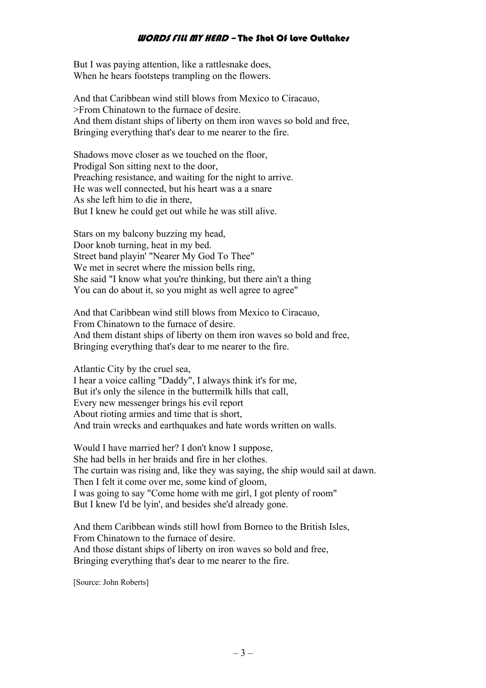But I was paying attention, like a rattlesnake does, When he hears footsteps trampling on the flowers.

And that Caribbean wind still blows from Mexico to Ciracauo, >From Chinatown to the furnace of desire. And them distant ships of liberty on them iron waves so bold and free, Bringing everything that's dear to me nearer to the fire.

Shadows move closer as we touched on the floor, Prodigal Son sitting next to the door, Preaching resistance, and waiting for the night to arrive. He was well connected, but his heart was a a snare As she left him to die in there, But I knew he could get out while he was still alive.

Stars on my balcony buzzing my head, Door knob turning, heat in my bed. Street band playin' "Nearer My God To Thee" We met in secret where the mission bells ring, She said "I know what you're thinking, but there ain't a thing You can do about it, so you might as well agree to agree"

And that Caribbean wind still blows from Mexico to Ciracauo, From Chinatown to the furnace of desire. And them distant ships of liberty on them iron waves so bold and free, Bringing everything that's dear to me nearer to the fire.

Atlantic City by the cruel sea, I hear a voice calling "Daddy", I always think it's for me, But it's only the silence in the buttermilk hills that call, Every new messenger brings his evil report About rioting armies and time that is short, And train wrecks and earthquakes and hate words written on walls.

Would I have married her? I don't know I suppose, She had bells in her braids and fire in her clothes. The curtain was rising and, like they was saying, the ship would sail at dawn. Then I felt it come over me, some kind of gloom, I was going to say "Come home with me girl, I got plenty of room" But I knew I'd be lyin', and besides she'd already gone.

And them Caribbean winds still howl from Borneo to the British Isles, From Chinatown to the furnace of desire. And those distant ships of liberty on iron waves so bold and free, Bringing everything that's dear to me nearer to the fire.

[Source: John Roberts]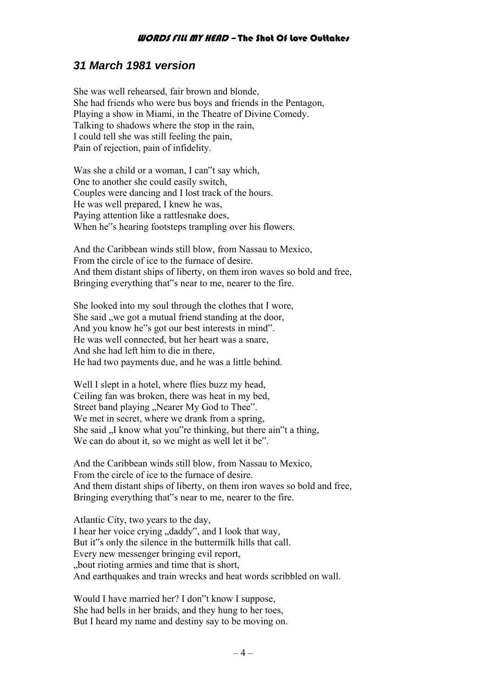### *31 March 1981 version*

She was well rehearsed, fair brown and blonde, She had friends who were bus boys and friends in the Pentagon, Playing a show in Miami, in the Theatre of Divine Comedy. Talking to shadows where the stop in the rain, I could tell she was still feeling the pain, Pain of rejection, pain of infidelity.

Was she a child or a woman, I can"t say which, One to another she could easily switch, Couples were dancing and I lost track of the hours. He was well prepared, I knew he was, Paying attention like a rattlesnake does, When he<sup>"s</sup> hearing footsteps trampling over his flowers.

And the Caribbean winds still blow, from Nassau to Mexico, From the circle of ice to the furnace of desire. And them distant ships of liberty, on them iron waves so bold and free, Bringing everything that"s near to me, nearer to the fire.

She looked into my soul through the clothes that I wore, She said , we got a mutual friend standing at the door, And you know he"s got our best interests in mind". He was well connected, but her heart was a snare, And she had left him to die in there, He had two payments due, and he was a little behind.

Well I slept in a hotel, where flies buzz my head, Ceiling fan was broken, there was heat in my bed, Street band playing . Nearer My God to Thee". We met in secret, where we drank from a spring. She said ...I know what you"re thinking, but there ain"t a thing, We can do about it, so we might as well let it be.<sup>\*\*</sup>.

And the Caribbean winds still blow, from Nassau to Mexico, From the circle of ice to the furnace of desire. And them distant ships of liberty, on them iron waves so bold and free, Bringing everything that"s near to me, nearer to the fire.

Atlantic City, two years to the day, I hear her voice crying "daddy", and I look that way, But it"s only the silence in the buttermilk hills that call. Every new messenger bringing evil report, "bout rioting armies and time that is short, And earthquakes and train wrecks and heat words scribbled on wall.

Would I have married her? I don"t know I suppose, She had bells in her braids, and they hung to her toes, But I heard my name and destiny say to be moving on.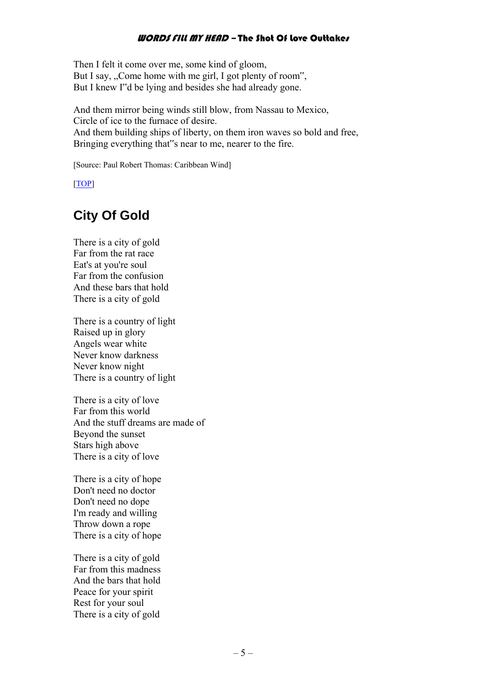Then I felt it come over me, some kind of gloom, But I say, "Come home with me girl, I got plenty of room", But I knew I"d be lying and besides she had already gone.

And them mirror being winds still blow, from Nassau to Mexico, Circle of ice to the furnace of desire. And them building ships of liberty, on them iron waves so bold and free, Bringing everything that"s near to me, nearer to the fire.

[Source: Paul Robert Thomas: Caribbean Wind]

[TOP]

## **City Of Gold**

There is a city of gold Far from the rat race Eat's at you're soul Far from the confusion And these bars that hold There is a city of gold

There is a country of light Raised up in glory Angels wear white Never know darkness Never know night There is a country of light

There is a city of love Far from this world And the stuff dreams are made of Beyond the sunset Stars high above There is a city of love

There is a city of hope Don't need no doctor Don't need no dope I'm ready and willing Throw down a rope There is a city of hope

There is a city of gold Far from this madness And the bars that hold Peace for your spirit Rest for your soul There is a city of gold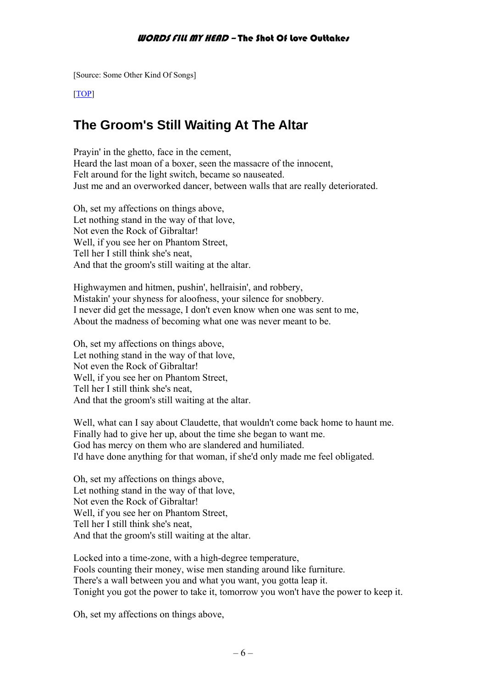[Source: Some Other Kind Of Songs]

[TOP]

## **The Groom's Still Waiting At The Altar**

Prayin' in the ghetto, face in the cement, Heard the last moan of a boxer, seen the massacre of the innocent, Felt around for the light switch, became so nauseated. Just me and an overworked dancer, between walls that are really deteriorated.

Oh, set my affections on things above, Let nothing stand in the way of that love, Not even the Rock of Gibraltar! Well, if you see her on Phantom Street, Tell her I still think she's neat, And that the groom's still waiting at the altar.

Highwaymen and hitmen, pushin', hellraisin', and robbery, Mistakin' your shyness for aloofness, your silence for snobbery. I never did get the message, I don't even know when one was sent to me, About the madness of becoming what one was never meant to be.

Oh, set my affections on things above, Let nothing stand in the way of that love, Not even the Rock of Gibraltar! Well, if you see her on Phantom Street, Tell her I still think she's neat, And that the groom's still waiting at the altar.

Well, what can I say about Claudette, that wouldn't come back home to haunt me. Finally had to give her up, about the time she began to want me. God has mercy on them who are slandered and humiliated. I'd have done anything for that woman, if she'd only made me feel obligated.

Oh, set my affections on things above, Let nothing stand in the way of that love, Not even the Rock of Gibraltar! Well, if you see her on Phantom Street, Tell her I still think she's neat, And that the groom's still waiting at the altar.

Locked into a time-zone, with a high-degree temperature, Fools counting their money, wise men standing around like furniture. There's a wall between you and what you want, you gotta leap it. Tonight you got the power to take it, tomorrow you won't have the power to keep it.

Oh, set my affections on things above,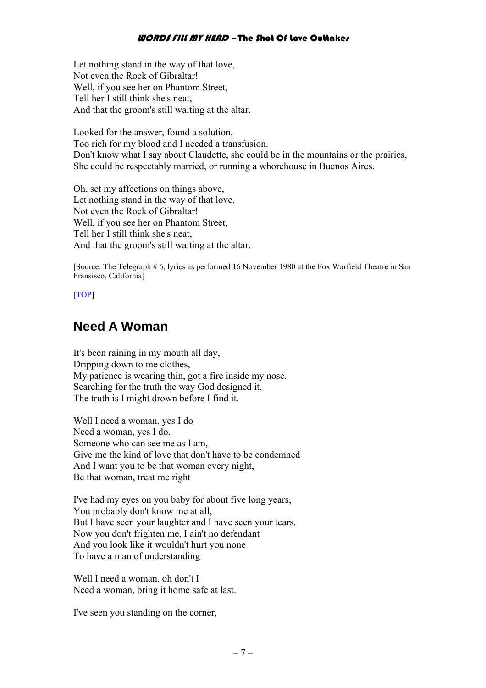Let nothing stand in the way of that love, Not even the Rock of Gibraltar! Well, if you see her on Phantom Street, Tell her I still think she's neat, And that the groom's still waiting at the altar.

Looked for the answer, found a solution, Too rich for my blood and I needed a transfusion. Don't know what I say about Claudette, she could be in the mountains or the prairies, She could be respectably married, or running a whorehouse in Buenos Aires.

Oh, set my affections on things above, Let nothing stand in the way of that love, Not even the Rock of Gibraltar! Well, if you see her on Phantom Street, Tell her I still think she's neat, And that the groom's still waiting at the altar.

[Source: The Telegraph # 6, lyrics as performed 16 November 1980 at the Fox Warfield Theatre in San Fransisco, California]

[TOP]

### **Need A Woman**

It's been raining in my mouth all day, Dripping down to me clothes, My patience is wearing thin, got a fire inside my nose. Searching for the truth the way God designed it, The truth is I might drown before I find it.

Well I need a woman, yes I do Need a woman, yes I do. Someone who can see me as I am, Give me the kind of love that don't have to be condemned And I want you to be that woman every night, Be that woman, treat me right

I've had my eyes on you baby for about five long years, You probably don't know me at all, But I have seen your laughter and I have seen your tears. Now you don't frighten me, I ain't no defendant And you look like it wouldn't hurt you none To have a man of understanding

Well I need a woman, oh don't I Need a woman, bring it home safe at last.

I've seen you standing on the corner,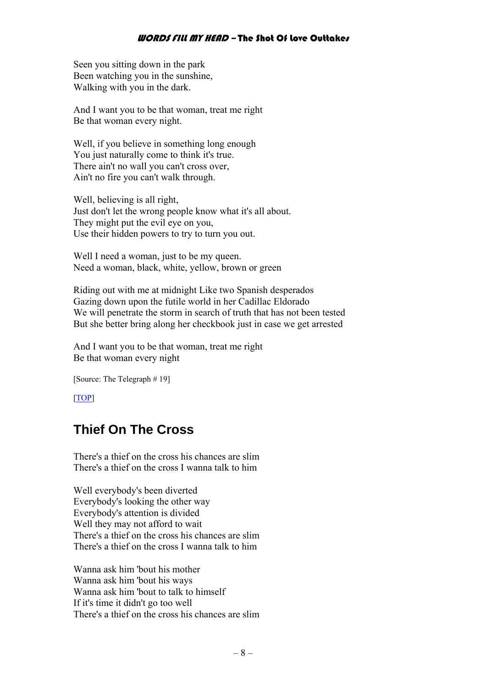Seen you sitting down in the park Been watching you in the sunshine, Walking with you in the dark.

And I want you to be that woman, treat me right Be that woman every night.

Well, if you believe in something long enough You just naturally come to think it's true. There ain't no wall you can't cross over, Ain't no fire you can't walk through.

Well, believing is all right, Just don't let the wrong people know what it's all about. They might put the evil eye on you, Use their hidden powers to try to turn you out.

Well I need a woman, just to be my queen. Need a woman, black, white, yellow, brown or green

Riding out with me at midnight Like two Spanish desperados Gazing down upon the futile world in her Cadillac Eldorado We will penetrate the storm in search of truth that has not been tested But she better bring along her checkbook just in case we get arrested

And I want you to be that woman, treat me right Be that woman every night

[Source: The Telegraph # 19]

[TOP]

## **Thief On The Cross**

There's a thief on the cross his chances are slim There's a thief on the cross I wanna talk to him

Well everybody's been diverted Everybody's looking the other way Everybody's attention is divided Well they may not afford to wait There's a thief on the cross his chances are slim There's a thief on the cross I wanna talk to him

Wanna ask him 'bout his mother Wanna ask him 'bout his ways Wanna ask him 'bout to talk to himself If it's time it didn't go too well There's a thief on the cross his chances are slim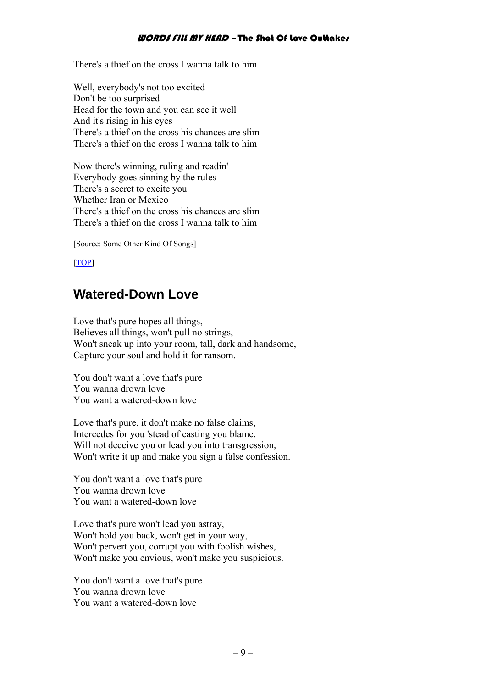There's a thief on the cross I wanna talk to him

Well, everybody's not too excited Don't be too surprised Head for the town and you can see it well And it's rising in his eyes There's a thief on the cross his chances are slim There's a thief on the cross I wanna talk to him

Now there's winning, ruling and readin' Everybody goes sinning by the rules There's a secret to excite you Whether Iran or Mexico There's a thief on the cross his chances are slim There's a thief on the cross I wanna talk to him

[Source: Some Other Kind Of Songs]

[TOP]

### **Watered-Down Love**

Love that's pure hopes all things, Believes all things, won't pull no strings, Won't sneak up into your room, tall, dark and handsome, Capture your soul and hold it for ransom.

You don't want a love that's pure You wanna drown love You want a watered-down love

Love that's pure, it don't make no false claims, Intercedes for you 'stead of casting you blame, Will not deceive you or lead you into transgression, Won't write it up and make you sign a false confession.

You don't want a love that's pure You wanna drown love You want a watered-down love

Love that's pure won't lead you astray, Won't hold you back, won't get in your way, Won't pervert you, corrupt you with foolish wishes, Won't make you envious, won't make you suspicious.

You don't want a love that's pure You wanna drown love You want a watered-down love